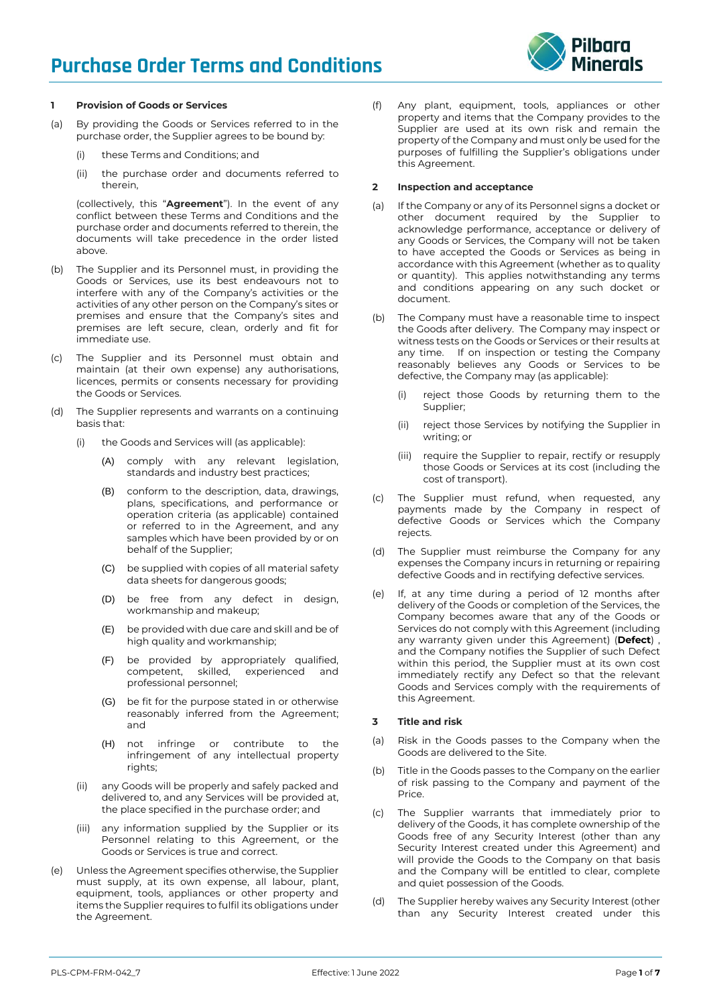# **Purchase Order Terms and Conditions**



# **1 Provision of Goods or Services**

- (a) By providing the Goods or Services referred to in the purchase order, the Supplier agrees to be bound by:
	- (i) these Terms and Conditions; and
	- (ii) the purchase order and documents referred to therein,

(collectively, this "**Agreement**"). In the event of any conflict between these Terms and Conditions and the purchase order and documents referred to therein, the documents will take precedence in the order listed above.

- (b) The Supplier and its Personnel must, in providing the Goods or Services, use its best endeavours not to interfere with any of the Company's activities or the activities of any other person on the Company's sites or premises and ensure that the Company's sites and premises are left secure, clean, orderly and fit for immediate use.
- (c) The Supplier and its Personnel must obtain and maintain (at their own expense) any authorisations, licences, permits or consents necessary for providing the Goods or Services.
- The Supplier represents and warrants on a continuing basis that:
	- (i) the Goods and Services will (as applicable):
		- (A) comply with any relevant legislation, standards and industry best practices;
		- (B) conform to the description, data, drawings, plans, specifications, and performance or operation criteria (as applicable) contained or referred to in the Agreement, and any samples which have been provided by or on behalf of the Supplier;
		- (C) be supplied with copies of all material safety data sheets for dangerous goods;
		- (D) be free from any defect in design, workmanship and makeup;
		- (E) be provided with due care and skill and be of high quality and workmanship;
		- (F) be provided by appropriately qualified, competent, skilled, experienced and professional personnel;
		- (G) be fit for the purpose stated in or otherwise reasonably inferred from the Agreement; and
		- (H) not infringe or contribute to the infringement of any intellectual property rights;
	- (ii) any Goods will be properly and safely packed and delivered to, and any Services will be provided at, the place specified in the purchase order; and
	- (iii) any information supplied by the Supplier or its Personnel relating to this Agreement, or the Goods or Services is true and correct.
- (e) Unless the Agreement specifies otherwise, the Supplier must supply, at its own expense, all labour, plant, equipment, tools, appliances or other property and items the Supplier requires to fulfil its obligations under the Agreement.

(f) Any plant, equipment, tools, appliances or other property and items that the Company provides to the Supplier are used at its own risk and remain the property of the Company and must only be used for the purposes of fulfilling the Supplier's obligations under this Agreement.

#### <span id="page-0-0"></span>**2 Inspection and acceptance**

- (a) If the Company or any of its Personnel signs a docket or other document required by the Supplier to acknowledge performance, acceptance or delivery of any Goods or Services, the Company will not be taken to have accepted the Goods or Services as being in accordance with this Agreement (whether as to quality or quantity). This applies notwithstanding any terms and conditions appearing on any such docket or document.
- The Company must have a reasonable time to inspect the Goods after delivery. The Company may inspect or witness tests on the Goods or Services or their results at any time. If on inspection or testing the Company reasonably believes any Goods or Services to be defective, the Company may (as applicable):
	- (i) reject those Goods by returning them to the Supplier;
	- (ii) reject those Services by notifying the Supplier in writing; or
	- (iii) require the Supplier to repair, rectify or resupply those Goods or Services at its cost (including the cost of transport).
- (c) The Supplier must refund, when requested, any payments made by the Company in respect of defective Goods or Services which the Company rejects.
- (d) The Supplier must reimburse the Company for any expenses the Company incurs in returning or repairing defective Goods and in rectifying defective services.
- (e) If, at any time during a period of 12 months after delivery of the Goods or completion of the Services, the Company becomes aware that any of the Goods or Services do not comply with this Agreement (including any warranty given under this Agreement) (**Defect**) , and the Company notifies the Supplier of such Defect within this period, the Supplier must at its own cost immediately rectify any Defect so that the relevant Goods and Services comply with the requirements of this Agreement.

# **3 Title and risk**

- (a) Risk in the Goods passes to the Company when the Goods are delivered to the Site.
- (b) Title in the Goods passes to the Company on the earlier of risk passing to the Company and payment of the Price.
- (c) The Supplier warrants that immediately prior to delivery of the Goods, it has complete ownership of the Goods free of any Security Interest (other than any Security Interest created under this Agreement) and will provide the Goods to the Company on that basis and the Company will be entitled to clear, complete and quiet possession of the Goods.
- (d) The Supplier hereby waives any Security Interest (other than any Security Interest created under this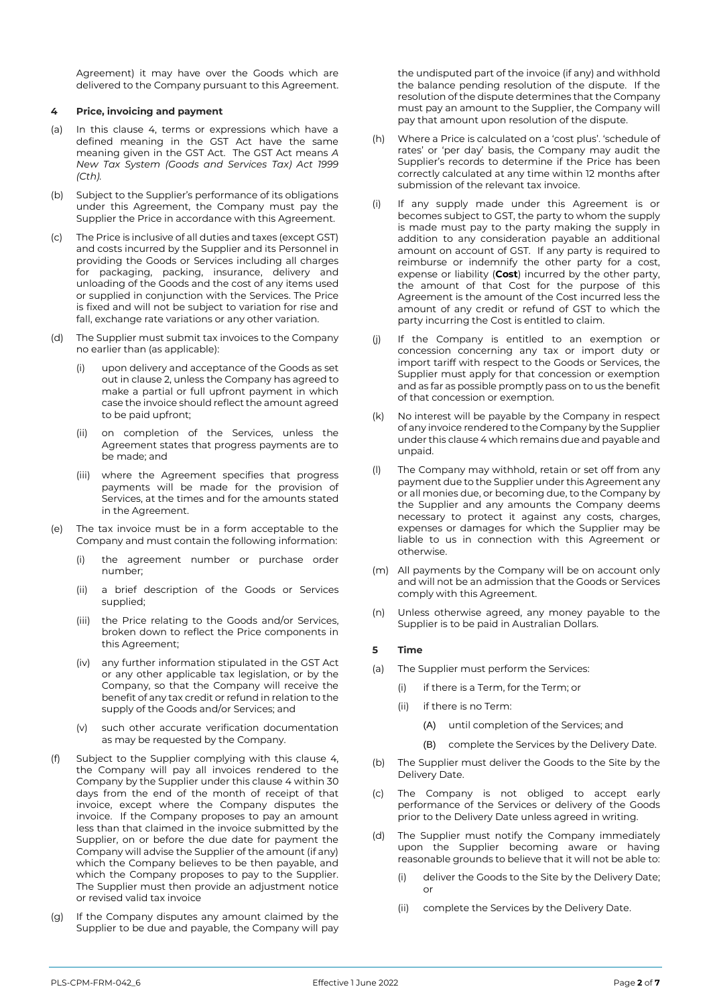Agreement) it may have over the Goods which are delivered to the Company pursuant to this Agreement.

#### <span id="page-1-0"></span>**4 Price, invoicing and payment**

- (a) In this clause [4,](#page-1-0) terms or expressions which have a defined meaning in the GST Act have the same meaning given in the GST Act. The GST Act means *A New Tax System (Goods and Services Tax) Act 1999 (Cth).*
- (b) Subject to the Supplier's performance of its obligations under this Agreement, the Company must pay the Supplier the Price in accordance with this Agreement.
- (c) The Price is inclusive of all duties and taxes (except GST) and costs incurred by the Supplier and its Personnel in providing the Goods or Services including all charges for packaging, packing, insurance, delivery and unloading of the Goods and the cost of any items used or supplied in conjunction with the Services. The Price is fixed and will not be subject to variation for rise and fall, exchange rate variations or any other variation.
- (d) The Supplier must submit tax invoices to the Company no earlier than (as applicable):
	- upon delivery and acceptance of the Goods as set out in claus[e 2,](#page-0-0) unless the Company has agreed to make a partial or full upfront payment in which case the invoice should reflect the amount agreed to be paid upfront;
	- (ii) on completion of the Services, unless the Agreement states that progress payments are to be made; and
	- (iii) where the Agreement specifies that progress payments will be made for the provision of Services, at the times and for the amounts stated in the Agreement.
- (e) The tax invoice must be in a form acceptable to the Company and must contain the following information:
	- (i) the agreement number or purchase order number;
	- (ii) a brief description of the Goods or Services supplied;
	- (iii) the Price relating to the Goods and/or Services, broken down to reflect the Price components in this Agreement;
	- (iv) any further information stipulated in the GST Act or any other applicable tax legislation, or by the Company, so that the Company will receive the benefit of any tax credit or refund in relation to the supply of the Goods and/or Services; and
	- (v) such other accurate verification documentation as may be requested by the Company.
- (f) Subject to the Supplier complying with this clause [4,](#page-1-0)  the Company will pay all invoices rendered to the Company by the Supplier under this clause [4](#page-1-0) within 30 days from the end of the month of receipt of that invoice, except where the Company disputes the invoice. If the Company proposes to pay an amount less than that claimed in the invoice submitted by the Supplier, on or before the due date for payment the Company will advise the Supplier of the amount (if any) which the Company believes to be then payable, and which the Company proposes to pay to the Supplier. The Supplier must then provide an adjustment notice or revised valid tax invoice
- (g) If the Company disputes any amount claimed by the Supplier to be due and payable, the Company will pay

the undisputed part of the invoice (if any) and withhold the balance pending resolution of the dispute. If the resolution of the dispute determines that the Company must pay an amount to the Supplier, the Company will pay that amount upon resolution of the dispute.

- (h) Where a Price is calculated on a 'cost plus'. 'schedule of rates' or 'per day' basis, the Company may audit the Supplier's records to determine if the Price has been correctly calculated at any time within 12 months after submission of the relevant tax invoice.
- (i) If any supply made under this Agreement is or becomes subject to GST, the party to whom the supply is made must pay to the party making the supply in addition to any consideration payable an additional amount on account of GST. If any party is required to reimburse or indemnify the other party for a cost, expense or liability (**Cost**) incurred by the other party, the amount of that Cost for the purpose of this Agreement is the amount of the Cost incurred less the amount of any credit or refund of GST to which the party incurring the Cost is entitled to claim.
- (j) If the Company is entitled to an exemption or concession concerning any tax or import duty or import tariff with respect to the Goods or Services, the Supplier must apply for that concession or exemption and as far as possible promptly pass on to us the benefit of that concession or exemption.
- (k) No interest will be payable by the Company in respect of any invoice rendered to the Company by the Supplier under this claus[e 4](#page-1-0) which remains due and payable and unpaid.
- (l) The Company may withhold, retain or set off from any payment due to the Supplier under this Agreement any or all monies due, or becoming due, to the Company by the Supplier and any amounts the Company deems necessary to protect it against any costs, charges, expenses or damages for which the Supplier may be liable to us in connection with this Agreement or otherwise.
- (m) All payments by the Company will be on account only and will not be an admission that the Goods or Services comply with this Agreement.
- (n) Unless otherwise agreed, any money payable to the Supplier is to be paid in Australian Dollars.

#### **5 Time**

- (a) The Supplier must perform the Services:
	- (i) if there is a Term, for the Term; or
	- (ii) if there is no Term:
		- (A) until completion of the Services; and
		- (B) complete the Services by the Delivery Date.
- (b) The Supplier must deliver the Goods to the Site by the Delivery Date.
- (c) The Company is not obliged to accept early performance of the Services or delivery of the Goods prior to the Delivery Date unless agreed in writing.
- (d) The Supplier must notify the Company immediately upon the Supplier becoming aware or having reasonable grounds to believe that it will not be able to:
	- (i) deliver the Goods to the Site by the Delivery Date; or
	- (ii) complete the Services by the Delivery Date.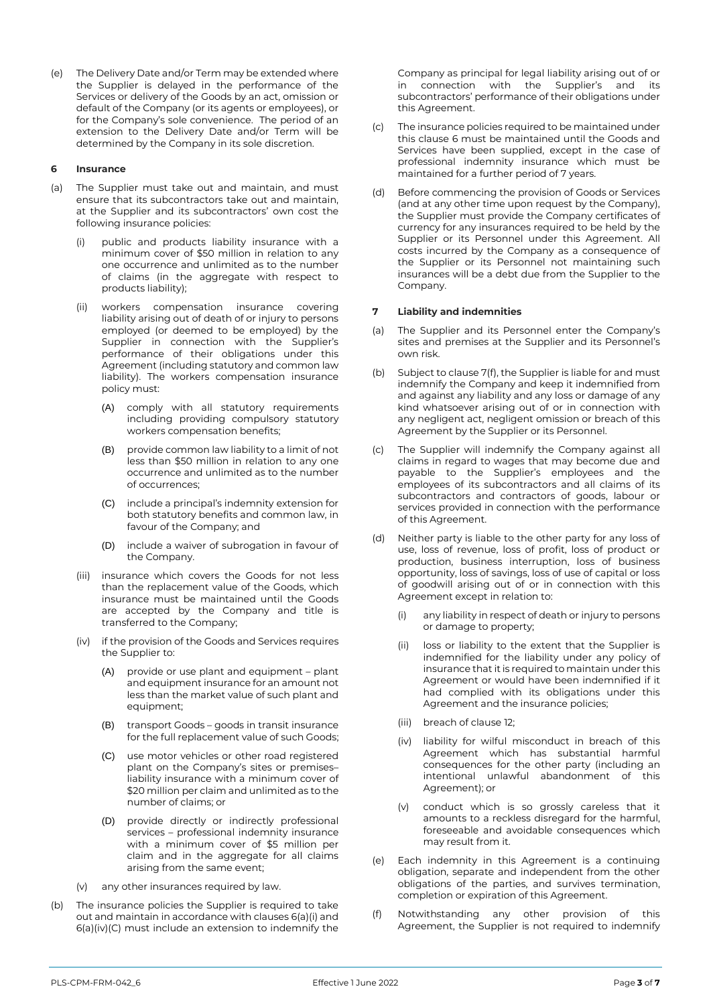(e) The Delivery Date and/or Term may be extended where the Supplier is delayed in the performance of the Services or delivery of the Goods by an act, omission or default of the Company (or its agents or employees), or for the Company's sole convenience. The period of an extension to the Delivery Date and/or Term will be determined by the Company in its sole discretion.

#### <span id="page-2-2"></span>**6 Insurance**

- <span id="page-2-0"></span>(a) The Supplier must take out and maintain, and must ensure that its subcontractors take out and maintain, at the Supplier and its subcontractors' own cost the following insurance policies:
	- (i) public and products liability insurance with a minimum cover of \$50 million in relation to any one occurrence and unlimited as to the number of claims (in the aggregate with respect to products liability);
	- (ii) workers compensation insurance covering liability arising out of death of or injury to persons employed (or deemed to be employed) by the Supplier in connection with the Supplier's performance of their obligations under this Agreement (including statutory and common law liability). The workers compensation insurance policy must:
		- (A) comply with all statutory requirements including providing compulsory statutory workers compensation benefits;
		- (B) provide common law liability to a limit of not less than \$50 million in relation to any one occurrence and unlimited as to the number of occurrences;
		- (C) include a principal's indemnity extension for both statutory benefits and common law, in favour of the Company; and
		- (D) include a waiver of subrogation in favour of the Company.
	- (iii) insurance which covers the Goods for not less than the replacement value of the Goods, which insurance must be maintained until the Goods are accepted by the Company and title is transferred to the Company;
	- (iv) if the provision of the Goods and Services requires the Supplier to:
		- (A) provide or use plant and equipment plant and equipment insurance for an amount not less than the market value of such plant and equipment;
		- (B) transport Goods goods in transit insurance for the full replacement value of such Goods;
		- (C) use motor vehicles or other road registered plant on the Company's sites or premises– liability insurance with a minimum cover of \$20 million per claim and unlimited as to the number of claims; or
		- (D) provide directly or indirectly professional services – professional indemnity insurance with a minimum cover of \$5 million per claim and in the aggregate for all claims arising from the same event;
	- (v) any other insurances required by law.
- <span id="page-2-1"></span>(b) The insurance policies the Supplier is required to take out and maintain in accordance with clause[s 6\(a\)\(i\)](#page-2-0) and [6\(a\)\(iv\)\(C\)](#page-2-1) must include an extension to indemnify the

Company as principal for legal liability arising out of or in connection with the Supplier's and its subcontractors' performance of their obligations under this Agreement.

- (c) The insurance policies required to be maintained under this claus[e 6](#page-2-2) must be maintained until the Goods and Services have been supplied, except in the case of professional indemnity insurance which must be maintained for a further period of 7 years.
- (d) Before commencing the provision of Goods or Services (and at any other time upon request by the Company), the Supplier must provide the Company certificates of currency for any insurances required to be held by the Supplier or its Personnel under this Agreement. All costs incurred by the Company as a consequence of the Supplier or its Personnel not maintaining such insurances will be a debt due from the Supplier to the Company.

# **7 Liability and indemnities**

- (a) The Supplier and its Personnel enter the Company's sites and premises at the Supplier and its Personnel's own risk.
- (b) Subject to claus[e 7\(f\),](#page-2-3) the Supplier is liable for and must indemnify the Company and keep it indemnified from and against any liability and any loss or damage of any kind whatsoever arising out of or in connection with any negligent act, negligent omission or breach of this Agreement by the Supplier or its Personnel.
- (c) The Supplier will indemnify the Company against all claims in regard to wages that may become due and payable to the Supplier's employees and the employees of its subcontractors and all claims of its subcontractors and contractors of goods, labour or services provided in connection with the performance of this Agreement.
- (d) Neither party is liable to the other party for any loss of use, loss of revenue, loss of profit, loss of product or production, business interruption, loss of business opportunity, loss of savings, loss of use of capital or loss of goodwill arising out of or in connection with this Agreement except in relation to:
	- (i) any liability in respect of death or injury to persons or damage to property;
	- (ii) loss or liability to the extent that the Supplier is indemnified for the liability under any policy of insurance that it is required to maintain under this Agreement or would have been indemnified if it had complied with its obligations under this Agreement and the insurance policies;
	- (iii) breach of clause 12;
	- (iv) liability for wilful misconduct in breach of this Agreement which has substantial harmful consequences for the other party (including an intentional unlawful abandonment of this Agreement); or
	- (v) conduct which is so grossly careless that it amounts to a reckless disregard for the harmful, foreseeable and avoidable consequences which may result from it.
- (e) Each indemnity in this Agreement is a continuing obligation, separate and independent from the other obligations of the parties, and survives termination, completion or expiration of this Agreement.
- <span id="page-2-3"></span>(f) Notwithstanding any other provision of this Agreement, the Supplier is not required to indemnify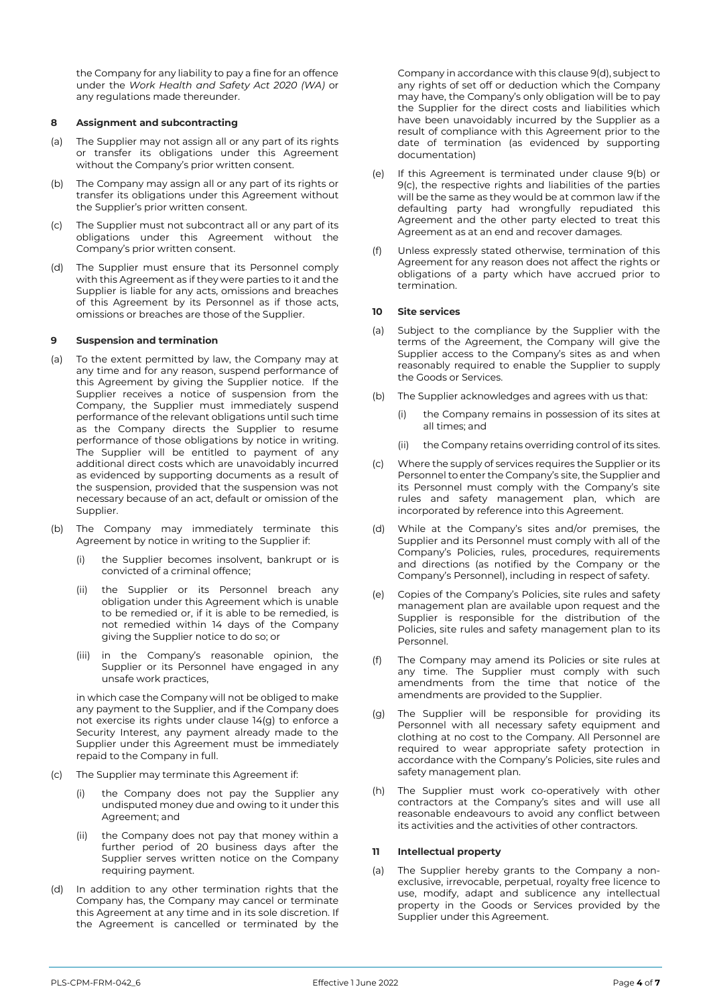the Company for any liability to pay a fine for an offence under the *Work Health and Safety Act 2020 (WA)* or any regulations made thereunder.

## **8 Assignment and subcontracting**

- (a) The Supplier may not assign all or any part of its rights or transfer its obligations under this Agreement without the Company's prior written consent.
- (b) The Company may assign all or any part of its rights or transfer its obligations under this Agreement without the Supplier's prior written consent.
- (c) The Supplier must not subcontract all or any part of its obligations under this Agreement without the Company's prior written consent.
- (d) The Supplier must ensure that its Personnel comply with this Agreement as if they were parties to it and the Supplier is liable for any acts, omissions and breaches of this Agreement by its Personnel as if those acts, omissions or breaches are those of the Supplier.

# **9 Suspension and termination**

- (a) To the extent permitted by law, the Company may at any time and for any reason, suspend performance of this Agreement by giving the Supplier notice. If the Supplier receives a notice of suspension from the Company, the Supplier must immediately suspend performance of the relevant obligations until such time as the Company directs the Supplier to resume performance of those obligations by notice in writing. The Supplier will be entitled to payment of any additional direct costs which are unavoidably incurred as evidenced by supporting documents as a result of the suspension, provided that the suspension was not necessary because of an act, default or omission of the Supplier.
- <span id="page-3-1"></span>(b) The Company may immediately terminate this Agreement by notice in writing to the Supplier if:
	- (i) the Supplier becomes insolvent, bankrupt or is convicted of a criminal offence;
	- (ii) the Supplier or its Personnel breach any obligation under this Agreement which is unable to be remedied or, if it is able to be remedied, is not remedied within 14 days of the Company giving the Supplier notice to do so; or
	- (iii) in the Company's reasonable opinion, the Supplier or its Personnel have engaged in any unsafe work practices,

in which case the Company will not be obliged to make any payment to the Supplier, and if the Company does not exercise its rights under clause 14(g) to enforce a Security Interest, any payment already made to the Supplier under this Agreement must be immediately repaid to the Company in full.

- <span id="page-3-2"></span>(c) The Supplier may terminate this Agreement if:
	- the Company does not pay the Supplier any undisputed money due and owing to it under this Agreement; and
	- (ii) the Company does not pay that money within a further period of 20 business days after the Supplier serves written notice on the Company requiring payment.
- <span id="page-3-0"></span>(d) In addition to any other termination rights that the Company has, the Company may cancel or terminate this Agreement at any time and in its sole discretion. If the Agreement is cancelled or terminated by the

Company in accordance with this claus[e 9\(d\),](#page-3-0) subject to any rights of set off or deduction which the Company may have, the Company's only obligation will be to pay the Supplier for the direct costs and liabilities which have been unavoidably incurred by the Supplier as a result of compliance with this Agreement prior to the date of termination (as evidenced by supporting documentation)

- (e) If this Agreement is terminated under clause [9\(b\)](#page-3-1) or [9\(c\),](#page-3-2) the respective rights and liabilities of the parties will be the same as they would be at common law if the defaulting party had wrongfully repudiated this Agreement and the other party elected to treat this Agreement as at an end and recover damages.
- (f) Unless expressly stated otherwise, termination of this Agreement for any reason does not affect the rights or obligations of a party which have accrued prior to termination.

# **10 Site services**

- (a) Subject to the compliance by the Supplier with the terms of the Agreement, the Company will give the Supplier access to the Company's sites as and when reasonably required to enable the Supplier to supply the Goods or Services.
- (b) The Supplier acknowledges and agrees with us that:
	- the Company remains in possession of its sites at all times; and
	- (ii) the Company retains overriding control of its sites.
- (c) Where the supply of services requires the Supplier or its Personnel to enter the Company's site, the Supplier and its Personnel must comply with the Company's site rules and safety management plan, which are incorporated by reference into this Agreement.
- (d) While at the Company's sites and/or premises, the Supplier and its Personnel must comply with all of the Company's Policies, rules, procedures, requirements and directions (as notified by the Company or the Company's Personnel), including in respect of safety.
- (e) Copies of the Company's Policies, site rules and safety management plan are available upon request and the Supplier is responsible for the distribution of the Policies, site rules and safety management plan to its Personnel.
- The Company may amend its Policies or site rules at any time. The Supplier must comply with such amendments from the time that notice of the amendments are provided to the Supplier.
- (g) The Supplier will be responsible for providing its Personnel with all necessary safety equipment and clothing at no cost to the Company. All Personnel are required to wear appropriate safety protection in accordance with the Company's Policies, site rules and safety management plan.
- (h) The Supplier must work co-operatively with other contractors at the Company's sites and will use all reasonable endeavours to avoid any conflict between its activities and the activities of other contractors.

# <span id="page-3-3"></span>**11 Intellectual property**

(a) The Supplier hereby grants to the Company a nonexclusive, irrevocable, perpetual, royalty free licence to use, modify, adapt and sublicence any intellectual property in the Goods or Services provided by the Supplier under this Agreement.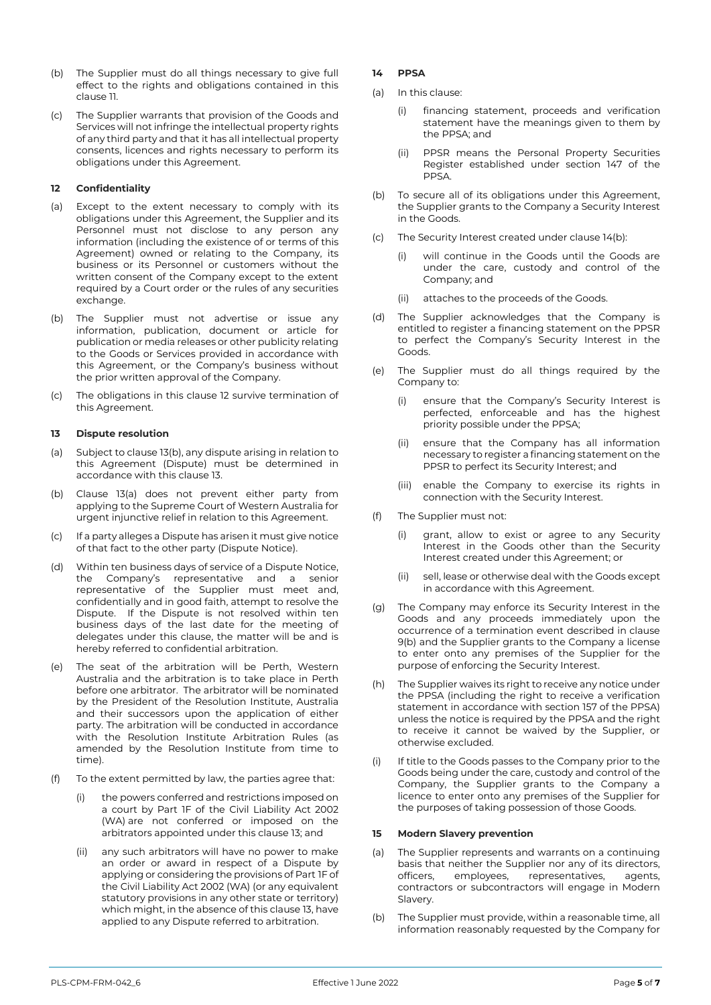- (b) The Supplier must do all things necessary to give full effect to the rights and obligations contained in this claus[e 11.](#page-3-3)
- (c) The Supplier warrants that provision of the Goods and Services will not infringe the intellectual property rights of any third party and that it has all intellectual property consents, licences and rights necessary to perform its obligations under this Agreement.

# <span id="page-4-0"></span>**12 Confidentiality**

- (a) Except to the extent necessary to comply with its obligations under this Agreement, the Supplier and its Personnel must not disclose to any person any information (including the existence of or terms of this Agreement) owned or relating to the Company, its business or its Personnel or customers without the written consent of the Company except to the extent required by a Court order or the rules of any securities exchange.
- (b) The Supplier must not advertise or issue any information, publication, document or article for publication or media releases or other publicity relating to the Goods or Services provided in accordance with this Agreement, or the Company's business without the prior written approval of the Company.
- (c) The obligations in this clause [12](#page-4-0) survive termination of this Agreement.

# **13 Dispute resolution**

- (a) Subject to clause 13(b), any dispute arising in relation to this Agreement (Dispute) must be determined in accordance with this clause 13.
- (b) Clause 13(a) does not prevent either party from applying to the Supreme Court of Western Australia for urgent injunctive relief in relation to this Agreement.
- (c) If a party alleges a Dispute has arisen it must give notice of that fact to the other party (Dispute Notice).
- (d) Within ten business days of service of a Dispute Notice, the Company's representative and a senior representative of the Supplier must meet and, confidentially and in good faith, attempt to resolve the Dispute. If the Dispute is not resolved within ten business days of the last date for the meeting of delegates under this clause, the matter will be and is hereby referred to confidential arbitration.
- (e) The seat of the arbitration will be Perth, Western Australia and the arbitration is to take place in Perth before one arbitrator. The arbitrator will be nominated by the President of the Resolution Institute, Australia and their successors upon the application of either party. The arbitration will be conducted in accordance with the Resolution Institute Arbitration Rules (as amended by the Resolution Institute from time to time).
- (f) To the extent permitted by law, the parties agree that:
	- (i) the powers conferred and restrictions imposed on a court by Part 1F of the Civil Liability Act 2002 (WA) are not conferred or imposed on the arbitrators appointed under this clause 13; and
	- (ii) any such arbitrators will have no power to make an order or award in respect of a Dispute by applying or considering the provisions of Part 1F of the Civil Liability Act 2002 (WA) (or any equivalent statutory provisions in any other state or territory) which might, in the absence of this clause 13, have applied to any Dispute referred to arbitration.

# **14 PPSA**

- (a) In this clause:
	- (i) financing statement, proceeds and verification statement have the meanings given to them by the PPSA; and
	- (ii) PPSR means the Personal Property Securities Register established under section 147 of the PPSA.
- (b) To secure all of its obligations under this Agreement, the Supplier grants to the Company a Security Interest in the Goods.
- (c) The Security Interest created under clause 14(b):
	- (i) will continue in the Goods until the Goods are under the care, custody and control of the Company; and
	- (ii) attaches to the proceeds of the Goods.
- (d) The Supplier acknowledges that the Company is entitled to register a financing statement on the PPSR to perfect the Company's Security Interest in the Goods.
- (e) The Supplier must do all things required by the Company to:
	- (i) ensure that the Company's Security Interest is perfected, enforceable and has the highest priority possible under the PPSA;
	- (ii) ensure that the Company has all information necessary to register a financing statement on the PPSR to perfect its Security Interest; and
	- (iii) enable the Company to exercise its rights in connection with the Security Interest.
- (f) The Supplier must not:
	- (i) grant, allow to exist or agree to any Security Interest in the Goods other than the Security Interest created under this Agreement; or
	- (ii) sell, lease or otherwise deal with the Goods except in accordance with this Agreement.
- (g) The Company may enforce its Security Interest in the Goods and any proceeds immediately upon the occurrence of a termination event described in clause 9(b) and the Supplier grants to the Company a license to enter onto any premises of the Supplier for the purpose of enforcing the Security Interest.
- (h) The Supplier waives its right to receive any notice under the PPSA (including the right to receive a verification statement in accordance with section 157 of the PPSA) unless the notice is required by the PPSA and the right to receive it cannot be waived by the Supplier, or otherwise excluded.
- (i) If title to the Goods passes to the Company prior to the Goods being under the care, custody and control of the Company, the Supplier grants to the Company a licence to enter onto any premises of the Supplier for the purposes of taking possession of those Goods.

# <span id="page-4-1"></span>**15 Modern Slavery prevention**

- (a) The Supplier represents and warrants on a continuing basis that neither the Supplier nor any of its directors, officers, employees, representatives, agents, contractors or subcontractors will engage in Modern Slavery.
- (b) The Supplier must provide, within a reasonable time, all information reasonably requested by the Company for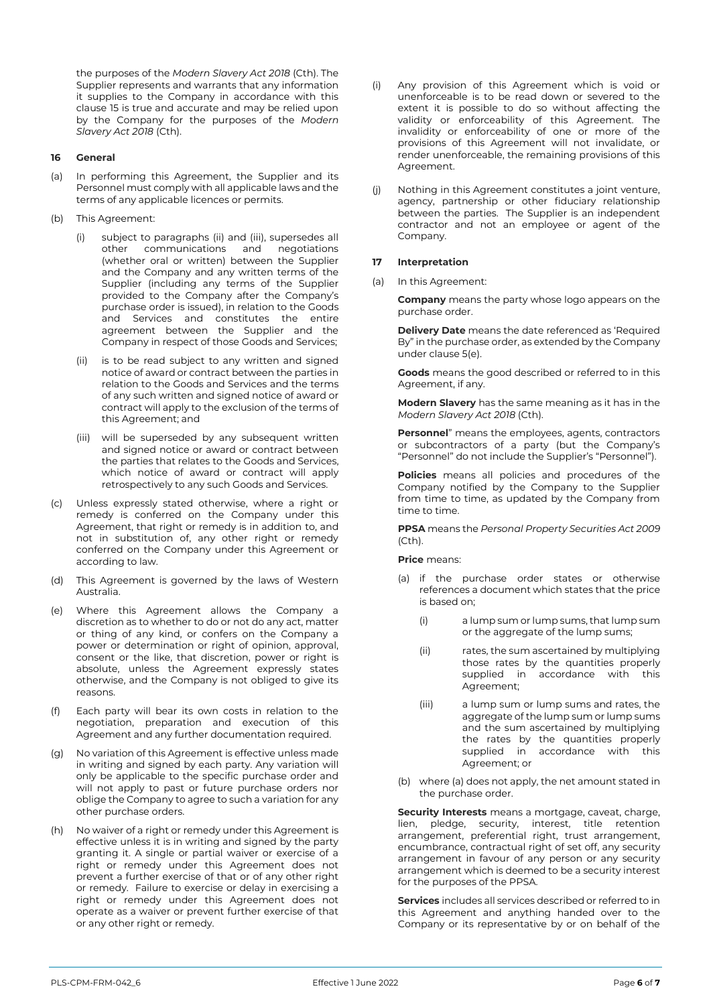the purposes of the *Modern Slavery Act 2018* (Cth). The Supplier represents and warrants that any information it supplies to the Company in accordance with this clause [15](#page-4-1) is true and accurate and may be relied upon by the Company for the purposes of the *Modern Slavery Act 2018* (Cth).

#### **16 General**

- (a) In performing this Agreement, the Supplier and its Personnel must comply with all applicable laws and the terms of any applicable licences or permits.
- (b) This Agreement:
	- subject to paragraphs (ii) and (iii), supersedes all<br>other communications and negotiations other communications and (whether oral or written) between the Supplier and the Company and any written terms of the Supplier (including any terms of the Supplier provided to the Company after the Company's purchase order is issued), in relation to the Goods and Services and constitutes the entire agreement between the Supplier and the Company in respect of those Goods and Services;
	- (ii) is to be read subject to any written and signed notice of award or contract between the parties in relation to the Goods and Services and the terms of any such written and signed notice of award or contract will apply to the exclusion of the terms of this Agreement; and
	- (iii) will be superseded by any subsequent written and signed notice or award or contract between the parties that relates to the Goods and Services, which notice of award or contract will apply retrospectively to any such Goods and Services.
- (c) Unless expressly stated otherwise, where a right or remedy is conferred on the Company under this Agreement, that right or remedy is in addition to, and not in substitution of, any other right or remedy conferred on the Company under this Agreement or according to law.
- (d) This Agreement is governed by the laws of Western Australia.
- (e) Where this Agreement allows the Company a discretion as to whether to do or not do any act, matter or thing of any kind, or confers on the Company a power or determination or right of opinion, approval, consent or the like, that discretion, power or right is absolute, unless the Agreement expressly states otherwise, and the Company is not obliged to give its reasons.
- (f) Each party will bear its own costs in relation to the negotiation, preparation and execution of this Agreement and any further documentation required.
- (g) No variation of this Agreement is effective unless made in writing and signed by each party. Any variation will only be applicable to the specific purchase order and will not apply to past or future purchase orders nor oblige the Company to agree to such a variation for any other purchase orders.
- (h) No waiver of a right or remedy under this Agreement is effective unless it is in writing and signed by the party granting it. A single or partial waiver or exercise of a right or remedy under this Agreement does not prevent a further exercise of that or of any other right or remedy. Failure to exercise or delay in exercising a right or remedy under this Agreement does not operate as a waiver or prevent further exercise of that or any other right or remedy.
- (i) Any provision of this Agreement which is void or unenforceable is to be read down or severed to the extent it is possible to do so without affecting the validity or enforceability of this Agreement. The invalidity or enforceability of one or more of the provisions of this Agreement will not invalidate, or render unenforceable, the remaining provisions of this Agreement.
- (j) Nothing in this Agreement constitutes a joint venture, agency, partnership or other fiduciary relationship between the parties. The Supplier is an independent contractor and not an employee or agent of the Company.

#### **17 Interpretation**

(a) In this Agreement:

**Company** means the party whose logo appears on the purchase order.

**Delivery Date** means the date referenced as 'Required By" in the purchase order, as extended by the Company under clause 5(e).

**Goods** means the good described or referred to in this Agreement, if any.

**Modern Slavery** has the same meaning as it has in the *Modern Slavery Act 2018* (Cth).

**Personnel**" means the employees, agents, contractors or subcontractors of a party (but the Company's "Personnel" do not include the Supplier's "Personnel").

**Policies** means all policies and procedures of the Company notified by the Company to the Supplier from time to time, as updated by the Company from time to time.

**PPSA** means the *Personal Property Securities Act 2009*  (Cth).

#### **Price** means:

- (a) if the purchase order states or otherwise references a document which states that the price is based on;
	- (i) a lump sum or lump sums, that lump sum or the aggregate of the lump sums;
	- (ii) rates, the sum ascertained by multiplying those rates by the quantities properly supplied in accordance with this Agreement;
	- (iii) a lump sum or lump sums and rates, the aggregate of the lump sum or lump sums and the sum ascertained by multiplying the rates by the quantities properly supplied in accordance with this Agreement; or
- (b) where (a) does not apply, the net amount stated in the purchase order.

**Security Interests** means a mortgage, caveat, charge, lien, pledge, security, interest, title retention arrangement, preferential right, trust arrangement, encumbrance, contractual right of set off, any security arrangement in favour of any person or any security arrangement which is deemed to be a security interest for the purposes of the PPSA.

**Services** includes all services described or referred to in this Agreement and anything handed over to the Company or its representative by or on behalf of the